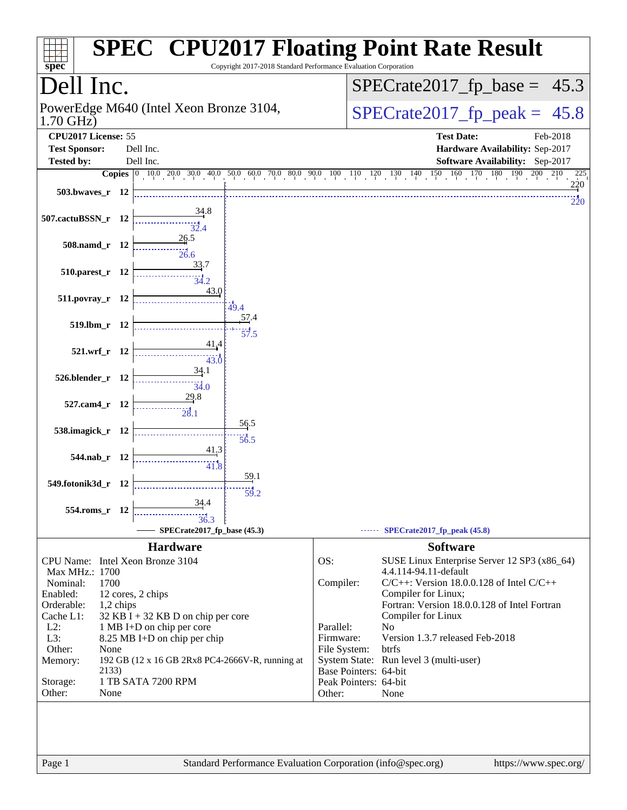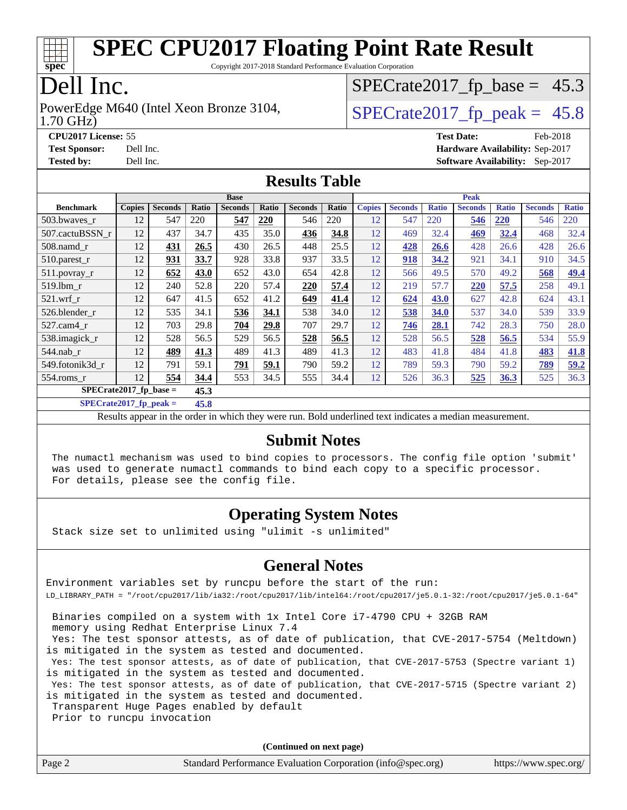

Copyright 2017-2018 Standard Performance Evaluation Corporation

# Dell Inc.

1.70 GHz) PowerEdge M640 (Intel Xeon Bronze 3104,  $\vert$  SPECrate 2017\_fp\_peak = 45.8

# $SPECTate2017_fp\_base = 45.3$

**[CPU2017 License:](http://www.spec.org/auto/cpu2017/Docs/result-fields.html#CPU2017License)** 55 **[Test Date:](http://www.spec.org/auto/cpu2017/Docs/result-fields.html#TestDate)** Feb-2018 **[Test Sponsor:](http://www.spec.org/auto/cpu2017/Docs/result-fields.html#TestSponsor)** Dell Inc. **[Hardware Availability:](http://www.spec.org/auto/cpu2017/Docs/result-fields.html#HardwareAvailability)** Sep-2017 **[Tested by:](http://www.spec.org/auto/cpu2017/Docs/result-fields.html#Testedby)** Dell Inc. **[Software Availability:](http://www.spec.org/auto/cpu2017/Docs/result-fields.html#SoftwareAvailability)** Sep-2017

#### **[Results Table](http://www.spec.org/auto/cpu2017/Docs/result-fields.html#ResultsTable)**

|                          | <b>Base</b>   |                |       |                | <b>Peak</b> |                |       |               |                |              |                |              |                |              |
|--------------------------|---------------|----------------|-------|----------------|-------------|----------------|-------|---------------|----------------|--------------|----------------|--------------|----------------|--------------|
| <b>Benchmark</b>         | <b>Copies</b> | <b>Seconds</b> | Ratio | <b>Seconds</b> | Ratio       | <b>Seconds</b> | Ratio | <b>Copies</b> | <b>Seconds</b> | <b>Ratio</b> | <b>Seconds</b> | <b>Ratio</b> | <b>Seconds</b> | <b>Ratio</b> |
| 503.bwaves_r             | 12            | 547            | 220   | 547            | 220         | 546            | 220   | 12            | 547            | 220          | 546            | <b>220</b>   | 546            | 220          |
| 507.cactuBSSN r          | 12            | 437            | 34.7  | 435            | 35.0        | 436            | 34.8  | 12            | 469            | 32.4         | 469            | 32.4         | 468            | 32.4         |
| 508.namd_r               | 12            | 431            | 26.5  | 430            | 26.5        | 448            | 25.5  | 12            | 428            | 26.6         | 428            | 26.6         | 428            | 26.6         |
| $510.parest_r$           | 12            | 931            | 33.7  | 928            | 33.8        | 937            | 33.5  | 12            | 918            | 34.2         | 921            | 34.1         | 910            | 34.5         |
| $511.$ povray_r          | 12            | 652            | 43.0  | 652            | 43.0        | 654            | 42.8  | 12            | 566            | 49.5         | 570            | 49.2         | 568            | 49.4         |
| 519.lbm r                | 12            | 240            | 52.8  | 220            | 57.4        | 220            | 57.4  | 12            | 219            | 57.7         | <b>220</b>     | 57.5         | 258            | 49.1         |
| $521$ .wrf r             | 12            | 647            | 41.5  | 652            | 41.2        | 649            | 41.4  | 12            | 624            | 43.0         | 627            | 42.8         | 624            | 43.1         |
| 526.blender r            | 12            | 535            | 34.1  | 536            | 34.1        | 538            | 34.0  | 12            | 538            | 34.0         | 537            | 34.0         | 539            | 33.9         |
| $527.cam4_r$             | 12            | 703            | 29.8  | 704            | 29.8        | 707            | 29.7  | 12            | 746            | 28.1         | 742            | 28.3         | 750            | 28.0         |
| 538.imagick_r            | 12            | 528            | 56.5  | 529            | 56.5        | 528            | 56.5  | 12            | 528            | 56.5         | 528            | 56.5         | 534            | 55.9         |
| $544$ .nab r             | 12            | 489            | 41.3  | 489            | 41.3        | 489            | 41.3  | 12            | 483            | 41.8         | 484            | 41.8         | 483            | 41.8         |
| 549.fotonik3d r          | 12            | 791            | 59.1  | <u>791</u>     | 59.1        | 790            | 59.2  | 12            | 789            | 59.3         | 790            | 59.2         | 789            | 59.2         |
| $554$ .roms r            | 12            | 554            | 34.4  | 553            | 34.5        | 555            | 34.4  | 12            | 526            | 36.3         | 525            | 36.3         | 525            | 36.3         |
| $SPECrate2017$ fp base = |               |                | 45.3  |                |             |                |       |               |                |              |                |              |                |              |

**[SPECrate2017\\_fp\\_peak =](http://www.spec.org/auto/cpu2017/Docs/result-fields.html#SPECrate2017fppeak) 45.8**

Results appear in the [order in which they were run.](http://www.spec.org/auto/cpu2017/Docs/result-fields.html#RunOrder) Bold underlined text [indicates a median measurement.](http://www.spec.org/auto/cpu2017/Docs/result-fields.html#Median)

#### **[Submit Notes](http://www.spec.org/auto/cpu2017/Docs/result-fields.html#SubmitNotes)**

 The numactl mechanism was used to bind copies to processors. The config file option 'submit' was used to generate numactl commands to bind each copy to a specific processor. For details, please see the config file.

### **[Operating System Notes](http://www.spec.org/auto/cpu2017/Docs/result-fields.html#OperatingSystemNotes)**

Stack size set to unlimited using "ulimit -s unlimited"

#### **[General Notes](http://www.spec.org/auto/cpu2017/Docs/result-fields.html#GeneralNotes)**

Environment variables set by runcpu before the start of the run: LD\_LIBRARY\_PATH = "/root/cpu2017/lib/ia32:/root/cpu2017/lib/intel64:/root/cpu2017/je5.0.1-32:/root/cpu2017/je5.0.1-64"

 Binaries compiled on a system with 1x Intel Core i7-4790 CPU + 32GB RAM memory using Redhat Enterprise Linux 7.4 Yes: The test sponsor attests, as of date of publication, that CVE-2017-5754 (Meltdown) is mitigated in the system as tested and documented. Yes: The test sponsor attests, as of date of publication, that CVE-2017-5753 (Spectre variant 1) is mitigated in the system as tested and documented. Yes: The test sponsor attests, as of date of publication, that CVE-2017-5715 (Spectre variant 2) is mitigated in the system as tested and documented. Transparent Huge Pages enabled by default Prior to runcpu invocation

**(Continued on next page)**

| Page 2 | Standard Performance Evaluation Corporation (info@spec.org) | https://www.spec.org/ |
|--------|-------------------------------------------------------------|-----------------------|
|        |                                                             |                       |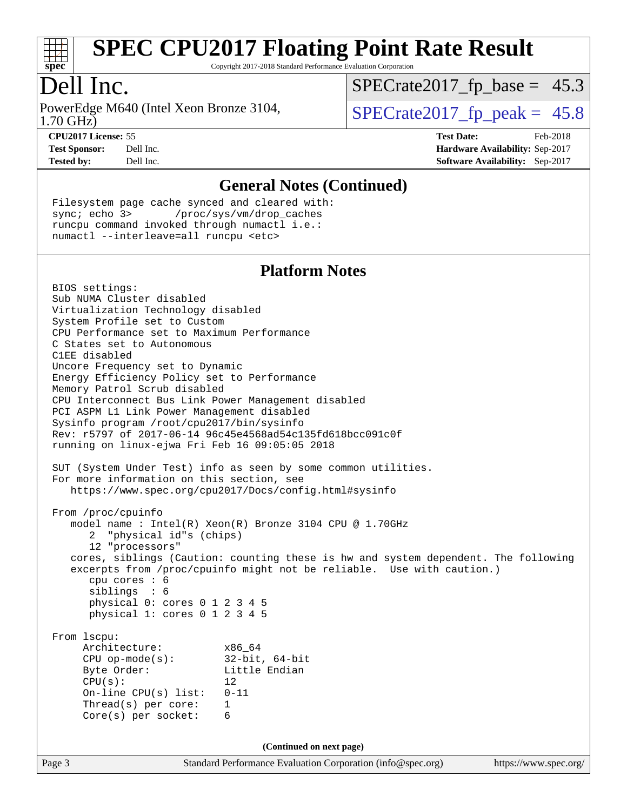

Copyright 2017-2018 Standard Performance Evaluation Corporation

# Dell Inc.

1.70 GHz) PowerEdge M640 (Intel Xeon Bronze 3104,  $\vert$  [SPECrate2017\\_fp\\_peak =](http://www.spec.org/auto/cpu2017/Docs/result-fields.html#SPECrate2017fppeak) 45.8

 $SPECTate2017_fp\_base = 45.3$ 

**[Tested by:](http://www.spec.org/auto/cpu2017/Docs/result-fields.html#Testedby)** Dell Inc. **[Software Availability:](http://www.spec.org/auto/cpu2017/Docs/result-fields.html#SoftwareAvailability)** Sep-2017

**[CPU2017 License:](http://www.spec.org/auto/cpu2017/Docs/result-fields.html#CPU2017License)** 55 **[Test Date:](http://www.spec.org/auto/cpu2017/Docs/result-fields.html#TestDate)** Feb-2018 **[Test Sponsor:](http://www.spec.org/auto/cpu2017/Docs/result-fields.html#TestSponsor)** Dell Inc. **[Hardware Availability:](http://www.spec.org/auto/cpu2017/Docs/result-fields.html#HardwareAvailability)** Sep-2017

#### **[General Notes \(Continued\)](http://www.spec.org/auto/cpu2017/Docs/result-fields.html#GeneralNotes)**

 Filesystem page cache synced and cleared with: sync; echo 3> /proc/sys/vm/drop\_caches runcpu command invoked through numactl i.e.: numactl --interleave=all runcpu <etc>

#### **[Platform Notes](http://www.spec.org/auto/cpu2017/Docs/result-fields.html#PlatformNotes)**

Page 3 Standard Performance Evaluation Corporation [\(info@spec.org\)](mailto:info@spec.org) <https://www.spec.org/> BIOS settings: Sub NUMA Cluster disabled Virtualization Technology disabled System Profile set to Custom CPU Performance set to Maximum Performance C States set to Autonomous C1EE disabled Uncore Frequency set to Dynamic Energy Efficiency Policy set to Performance Memory Patrol Scrub disabled CPU Interconnect Bus Link Power Management disabled PCI ASPM L1 Link Power Management disabled Sysinfo program /root/cpu2017/bin/sysinfo Rev: r5797 of 2017-06-14 96c45e4568ad54c135fd618bcc091c0f running on linux-ejwa Fri Feb 16 09:05:05 2018 SUT (System Under Test) info as seen by some common utilities. For more information on this section, see <https://www.spec.org/cpu2017/Docs/config.html#sysinfo> From /proc/cpuinfo model name : Intel(R) Xeon(R) Bronze 3104 CPU @ 1.70GHz 2 "physical id"s (chips) 12 "processors" cores, siblings (Caution: counting these is hw and system dependent. The following excerpts from /proc/cpuinfo might not be reliable. Use with caution.) cpu cores : 6 siblings : 6 physical 0: cores 0 1 2 3 4 5 physical 1: cores 0 1 2 3 4 5 From lscpu: Architecture: x86\_64 CPU op-mode(s): 32-bit, 64-bit Byte Order: Little Endian  $CPU(s):$  12 On-line CPU(s) list: 0-11 Thread(s) per core: 1 Core(s) per socket: 6 **(Continued on next page)**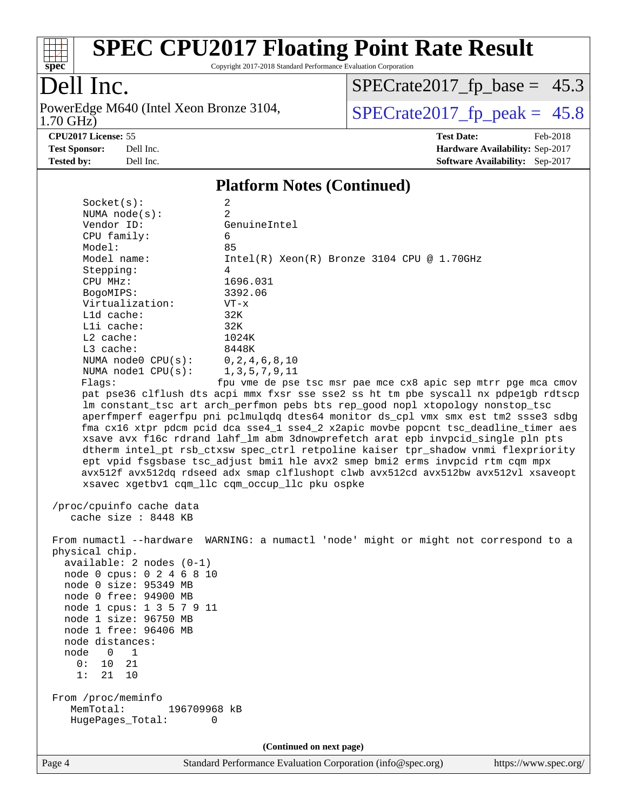

Copyright 2017-2018 Standard Performance Evaluation Corporation

# Dell Inc.

1.70 GHz) PowerEdge M640 (Intel Xeon Bronze 3104,  $\text{SPECrate2017\_fp\_peak} = 45.8$ 

 $SPECrate2017_fp\_base = 45.3$ 

**[CPU2017 License:](http://www.spec.org/auto/cpu2017/Docs/result-fields.html#CPU2017License)** 55 **[Test Date:](http://www.spec.org/auto/cpu2017/Docs/result-fields.html#TestDate)** Feb-2018

**[Test Sponsor:](http://www.spec.org/auto/cpu2017/Docs/result-fields.html#TestSponsor)** Dell Inc. **[Hardware Availability:](http://www.spec.org/auto/cpu2017/Docs/result-fields.html#HardwareAvailability)** Sep-2017 **[Tested by:](http://www.spec.org/auto/cpu2017/Docs/result-fields.html#Testedby)** Dell Inc. **[Software Availability:](http://www.spec.org/auto/cpu2017/Docs/result-fields.html#SoftwareAvailability)** Sep-2017

#### **[Platform Notes \(Continued\)](http://www.spec.org/auto/cpu2017/Docs/result-fields.html#PlatformNotes)**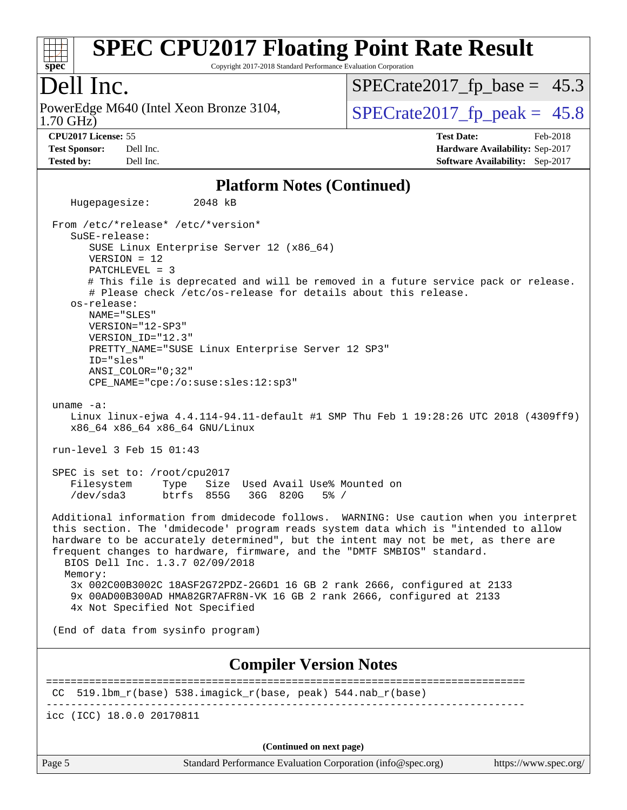

Copyright 2017-2018 Standard Performance Evaluation Corporation

### Dell Inc.

1.70 GHz) PowerEdge M640 (Intel Xeon Bronze 3104,  $\vert$  [SPECrate2017\\_fp\\_peak =](http://www.spec.org/auto/cpu2017/Docs/result-fields.html#SPECrate2017fppeak) 45.8

 $SPECTate2017_fp\_base = 45.3$ 

**[CPU2017 License:](http://www.spec.org/auto/cpu2017/Docs/result-fields.html#CPU2017License)** 55 **[Test Date:](http://www.spec.org/auto/cpu2017/Docs/result-fields.html#TestDate)** Feb-2018 **[Test Sponsor:](http://www.spec.org/auto/cpu2017/Docs/result-fields.html#TestSponsor)** Dell Inc. **[Hardware Availability:](http://www.spec.org/auto/cpu2017/Docs/result-fields.html#HardwareAvailability)** Sep-2017 **[Tested by:](http://www.spec.org/auto/cpu2017/Docs/result-fields.html#Testedby)** Dell Inc. **[Software Availability:](http://www.spec.org/auto/cpu2017/Docs/result-fields.html#SoftwareAvailability)** Sep-2017

#### **[Platform Notes \(Continued\)](http://www.spec.org/auto/cpu2017/Docs/result-fields.html#PlatformNotes)**

 Hugepagesize: 2048 kB From /etc/\*release\* /etc/\*version\* SuSE-release: SUSE Linux Enterprise Server 12 (x86\_64) VERSION = 12 PATCHLEVEL = 3 # This file is deprecated and will be removed in a future service pack or release. # Please check /etc/os-release for details about this release. os-release: NAME="SLES" VERSION="12-SP3" VERSION\_ID="12.3" PRETTY\_NAME="SUSE Linux Enterprise Server 12 SP3" ID="sles" ANSI\_COLOR="0;32" CPE\_NAME="cpe:/o:suse:sles:12:sp3" uname -a: Linux linux-ejwa 4.4.114-94.11-default #1 SMP Thu Feb 1 19:28:26 UTC 2018 (4309ff9) x86\_64 x86\_64 x86\_64 GNU/Linux run-level 3 Feb 15 01:43 SPEC is set to: /root/cpu2017 Filesystem Type Size Used Avail Use% Mounted on<br>
/dev/sda3 btrfs 855G 36G 820G 5% / /dev/sda3 btrfs 855G 36G 820G 5% / Additional information from dmidecode follows. WARNING: Use caution when you interpret this section. The 'dmidecode' program reads system data which is "intended to allow hardware to be accurately determined", but the intent may not be met, as there are frequent changes to hardware, firmware, and the "DMTF SMBIOS" standard. BIOS Dell Inc. 1.3.7 02/09/2018 Memory: 3x 002C00B3002C 18ASF2G72PDZ-2G6D1 16 GB 2 rank 2666, configured at 2133 9x 00AD00B300AD HMA82GR7AFR8N-VK 16 GB 2 rank 2666, configured at 2133 4x Not Specified Not Specified (End of data from sysinfo program) **[Compiler Version Notes](http://www.spec.org/auto/cpu2017/Docs/result-fields.html#CompilerVersionNotes)** ==============================================================================  $CC$  519.1bm\_ $r(base)$  538.imagick\_ $r(base)$  peak) 544.nab\_ $r(base)$ ----------------------------------------------------------------------------- icc (ICC) 18.0.0 20170811 **(Continued on next page)**

Page 5 Standard Performance Evaluation Corporation [\(info@spec.org\)](mailto:info@spec.org) <https://www.spec.org/>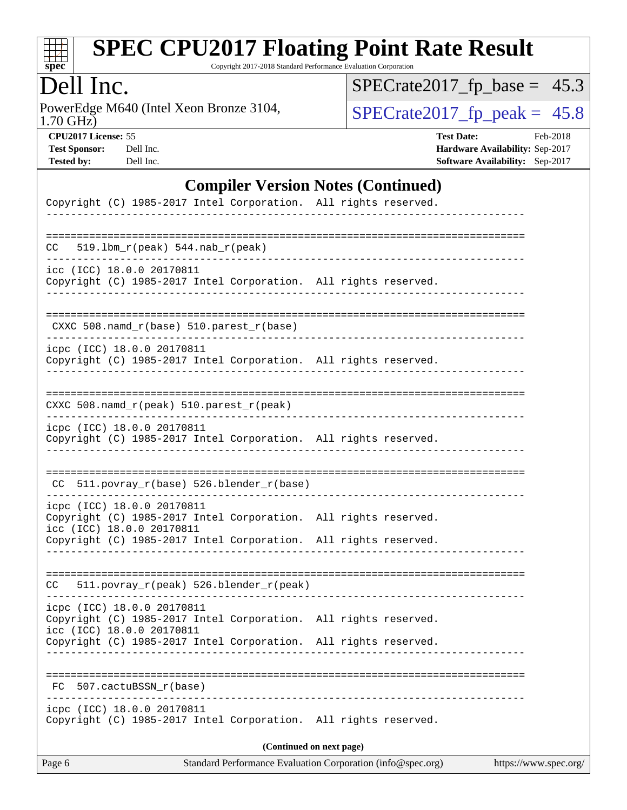

Copyright 2017-2018 Standard Performance Evaluation Corporation

### Dell Inc.

1.70 GHz) PowerEdge M640 (Intel Xeon Bronze 3104,  $\text{SPECrate2017\_fp\_peak} = 45.8$ 

 $SPECrate2017_fp\_base = 45.3$ 

**[CPU2017 License:](http://www.spec.org/auto/cpu2017/Docs/result-fields.html#CPU2017License)** 55 **[Test Date:](http://www.spec.org/auto/cpu2017/Docs/result-fields.html#TestDate)** Feb-2018 **[Test Sponsor:](http://www.spec.org/auto/cpu2017/Docs/result-fields.html#TestSponsor)** Dell Inc. **[Hardware Availability:](http://www.spec.org/auto/cpu2017/Docs/result-fields.html#HardwareAvailability)** Sep-2017 **[Tested by:](http://www.spec.org/auto/cpu2017/Docs/result-fields.html#Testedby)** Dell Inc. **[Software Availability:](http://www.spec.org/auto/cpu2017/Docs/result-fields.html#SoftwareAvailability)** Sep-2017

#### **[Compiler Version Notes \(Continued\)](http://www.spec.org/auto/cpu2017/Docs/result-fields.html#CompilerVersionNotes)**

| Page 6                                                                                                                     | Standard Performance Evaluation Corporation (info@spec.org)<br>https://www.spec.org/ |
|----------------------------------------------------------------------------------------------------------------------------|--------------------------------------------------------------------------------------|
|                                                                                                                            | (Continued on next page)                                                             |
| icpc (ICC) 18.0.0 20170811<br>Copyright (C) 1985-2017 Intel Corporation. All rights reserved.                              |                                                                                      |
| 507.cactuBSSN_r(base)<br>FC                                                                                                |                                                                                      |
| Copyright (C) 1985-2017 Intel Corporation. All rights reserved.                                                            |                                                                                      |
| icpc (ICC) 18.0.0 20170811<br>Copyright (C) 1985-2017 Intel Corporation. All rights reserved.<br>icc (ICC) 18.0.0 20170811 |                                                                                      |
| 511.povray_r(peak) 526.blender_r(peak)<br>CC                                                                               |                                                                                      |
| Copyright (C) 1985-2017 Intel Corporation. All rights reserved.                                                            |                                                                                      |
| icpc (ICC) 18.0.0 20170811<br>Copyright (C) 1985-2017 Intel Corporation. All rights reserved.<br>icc (ICC) 18.0.0 20170811 |                                                                                      |
| 511.povray_r(base) 526.blender_r(base)<br>CC.                                                                              |                                                                                      |
| Copyright (C) 1985-2017 Intel Corporation. All rights reserved.                                                            |                                                                                      |
| icpc (ICC) 18.0.0 20170811                                                                                                 |                                                                                      |
| CXXC 508.namd_r(peak) 510.parest_r(peak)                                                                                   |                                                                                      |
| icpc (ICC) 18.0.0 20170811<br>Copyright (C) 1985-2017 Intel Corporation. All rights reserved.                              |                                                                                      |
| CXXC 508.namd_r(base) 510.parest_r(base)                                                                                   |                                                                                      |
| icc (ICC) 18.0.0 20170811<br>Copyright (C) 1985-2017 Intel Corporation. All rights reserved.                               |                                                                                      |
| $CC = 519.1bm_r (peak) 544. nab_r (peak)$                                                                                  |                                                                                      |
| Copyright (C) 1985-2017 Intel Corporation. All rights reserved.                                                            |                                                                                      |
|                                                                                                                            |                                                                                      |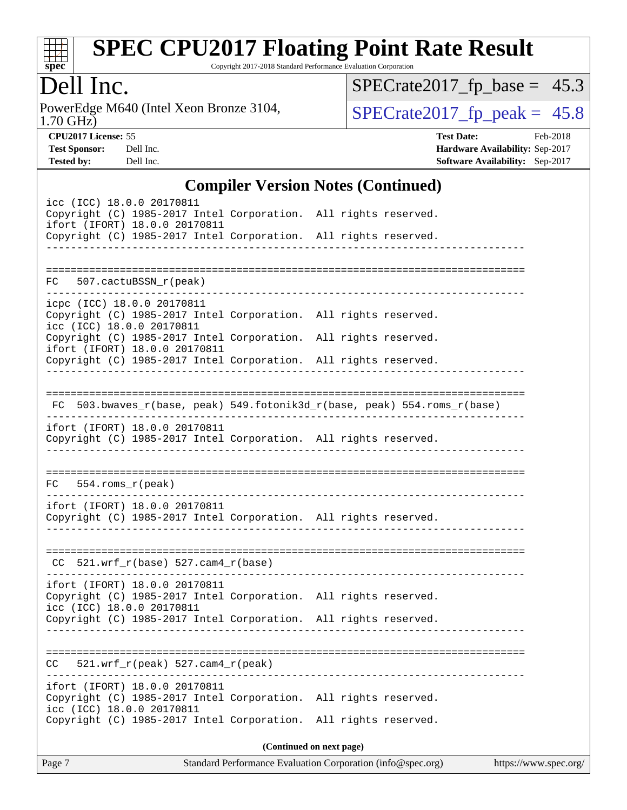

Copyright 2017-2018 Standard Performance Evaluation Corporation

# Dell Inc.

1.70 GHz) PowerEdge M640 (Intel Xeon Bronze 3104,  $\text{SPECrate2017\_fp\_peak} = 45.8$ 

 $SPECrate2017_fp\_base = 45.3$ 

**[CPU2017 License:](http://www.spec.org/auto/cpu2017/Docs/result-fields.html#CPU2017License)** 55 **[Test Date:](http://www.spec.org/auto/cpu2017/Docs/result-fields.html#TestDate)** Feb-2018 **[Test Sponsor:](http://www.spec.org/auto/cpu2017/Docs/result-fields.html#TestSponsor)** Dell Inc. **[Hardware Availability:](http://www.spec.org/auto/cpu2017/Docs/result-fields.html#HardwareAvailability)** Sep-2017 **[Tested by:](http://www.spec.org/auto/cpu2017/Docs/result-fields.html#Testedby)** Dell Inc. **[Software Availability:](http://www.spec.org/auto/cpu2017/Docs/result-fields.html#SoftwareAvailability)** Sep-2017

### **[Compiler Version Notes \(Continued\)](http://www.spec.org/auto/cpu2017/Docs/result-fields.html#CompilerVersionNotes)**

| icc (ICC) 18.0.0 20170811<br>Copyright (C) 1985-2017 Intel Corporation. All rights reserved.<br>ifort (IFORT) 18.0.0 20170811<br>Copyright (C) 1985-2017 Intel Corporation. All rights reserved. | $0.224$ $1.22040$ $1.0000$    |  |
|--------------------------------------------------------------------------------------------------------------------------------------------------------------------------------------------------|-------------------------------|--|
| $FC$ 507. cactuBSSN $r$ (peak)                                                                                                                                                                   |                               |  |
| icpc (ICC) 18.0.0 20170811<br>Copyright (C) 1985-2017 Intel Corporation. All rights reserved.<br>icc (ICC) 18.0.0 20170811                                                                       |                               |  |
| Copyright (C) 1985-2017 Intel Corporation. All rights reserved.<br>ifort (IFORT) 18.0.0 20170811                                                                                                 |                               |  |
| Copyright (C) 1985-2017 Intel Corporation. All rights reserved.                                                                                                                                  |                               |  |
| FC 503.bwaves_r(base, peak) 549.fotonik3d_r(base, peak) 554.roms_r(base)                                                                                                                         |                               |  |
| ifort (IFORT) 18.0.0 20170811<br>Copyright (C) 1985-2017 Intel Corporation. All rights reserved.                                                                                                 | _____________________________ |  |
| $FC 554.rows_r (peak)$                                                                                                                                                                           |                               |  |
| ifort (IFORT) 18.0.0 20170811<br>Copyright (C) 1985-2017 Intel Corporation. All rights reserved.                                                                                                 |                               |  |
| $CC$ 521.wrf_r(base) 527.cam4_r(base)                                                                                                                                                            |                               |  |
| ifort (IFORT) 18.0.0 20170811<br>Copyright (C) 1985-2017 Intel Corporation. All rights reserved.<br>icc (ICC) 18.0.0 20170811                                                                    |                               |  |
| Copyright (C) 1985-2017 Intel Corporation. All rights reserved.                                                                                                                                  |                               |  |
| $521.wrf_r(peak) 527.cam4_r(peak)$<br>CC                                                                                                                                                         |                               |  |
| ifort (IFORT) 18.0.0 20170811<br>Copyright (C) 1985-2017 Intel Corporation. All rights reserved.<br>icc (ICC) 18.0.0 20170811<br>Copyright (C) 1985-2017 Intel Corporation. All rights reserved. |                               |  |
|                                                                                                                                                                                                  | (Continued on next page)      |  |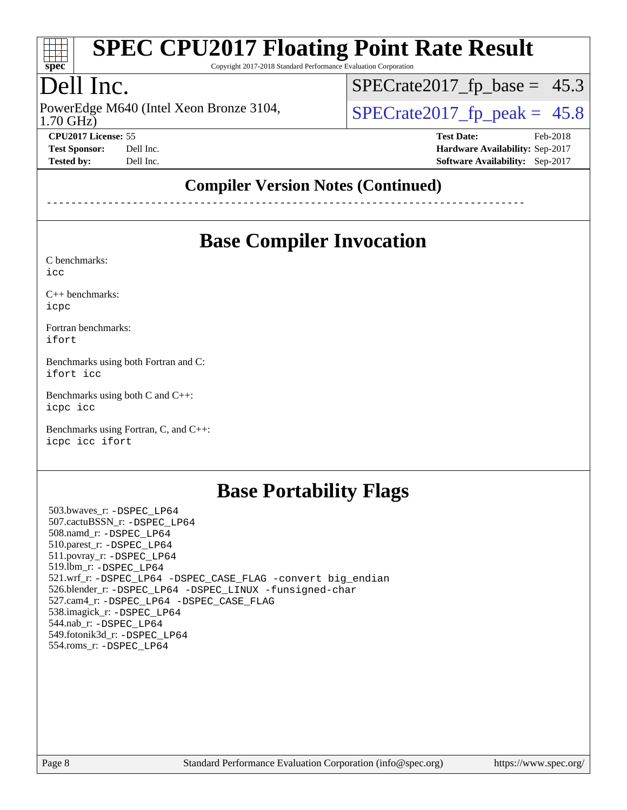

Copyright 2017-2018 Standard Performance Evaluation Corporation

# Dell Inc.

1.70 GHz) PowerEdge M640 (Intel Xeon Bronze 3104,  $\vert$  SPECrate 2017 fp peak = 45.8

 $SPECTate2017_fp\_base = 45.3$ 

**[CPU2017 License:](http://www.spec.org/auto/cpu2017/Docs/result-fields.html#CPU2017License)** 55 **[Test Date:](http://www.spec.org/auto/cpu2017/Docs/result-fields.html#TestDate)** Feb-2018 **[Test Sponsor:](http://www.spec.org/auto/cpu2017/Docs/result-fields.html#TestSponsor)** Dell Inc. **[Hardware Availability:](http://www.spec.org/auto/cpu2017/Docs/result-fields.html#HardwareAvailability)** Sep-2017 **[Tested by:](http://www.spec.org/auto/cpu2017/Docs/result-fields.html#Testedby)** Dell Inc. **[Software Availability:](http://www.spec.org/auto/cpu2017/Docs/result-fields.html#SoftwareAvailability)** Sep-2017

### **[Compiler Version Notes \(Continued\)](http://www.spec.org/auto/cpu2017/Docs/result-fields.html#CompilerVersionNotes)**

------------------------------------------------------------------------------

### **[Base Compiler Invocation](http://www.spec.org/auto/cpu2017/Docs/result-fields.html#BaseCompilerInvocation)**

[C benchmarks](http://www.spec.org/auto/cpu2017/Docs/result-fields.html#Cbenchmarks):

[icc](http://www.spec.org/cpu2017/results/res2018q1/cpu2017-20180305-03885.flags.html#user_CCbase_intel_icc_18.0_66fc1ee009f7361af1fbd72ca7dcefbb700085f36577c54f309893dd4ec40d12360134090235512931783d35fd58c0460139e722d5067c5574d8eaf2b3e37e92)

[C++ benchmarks:](http://www.spec.org/auto/cpu2017/Docs/result-fields.html#CXXbenchmarks) [icpc](http://www.spec.org/cpu2017/results/res2018q1/cpu2017-20180305-03885.flags.html#user_CXXbase_intel_icpc_18.0_c510b6838c7f56d33e37e94d029a35b4a7bccf4766a728ee175e80a419847e808290a9b78be685c44ab727ea267ec2f070ec5dc83b407c0218cded6866a35d07)

[Fortran benchmarks](http://www.spec.org/auto/cpu2017/Docs/result-fields.html#Fortranbenchmarks): [ifort](http://www.spec.org/cpu2017/results/res2018q1/cpu2017-20180305-03885.flags.html#user_FCbase_intel_ifort_18.0_8111460550e3ca792625aed983ce982f94888b8b503583aa7ba2b8303487b4d8a21a13e7191a45c5fd58ff318f48f9492884d4413fa793fd88dd292cad7027ca)

[Benchmarks using both Fortran and C](http://www.spec.org/auto/cpu2017/Docs/result-fields.html#BenchmarksusingbothFortranandC): [ifort](http://www.spec.org/cpu2017/results/res2018q1/cpu2017-20180305-03885.flags.html#user_CC_FCbase_intel_ifort_18.0_8111460550e3ca792625aed983ce982f94888b8b503583aa7ba2b8303487b4d8a21a13e7191a45c5fd58ff318f48f9492884d4413fa793fd88dd292cad7027ca) [icc](http://www.spec.org/cpu2017/results/res2018q1/cpu2017-20180305-03885.flags.html#user_CC_FCbase_intel_icc_18.0_66fc1ee009f7361af1fbd72ca7dcefbb700085f36577c54f309893dd4ec40d12360134090235512931783d35fd58c0460139e722d5067c5574d8eaf2b3e37e92)

[Benchmarks using both C and C++](http://www.spec.org/auto/cpu2017/Docs/result-fields.html#BenchmarksusingbothCandCXX): [icpc](http://www.spec.org/cpu2017/results/res2018q1/cpu2017-20180305-03885.flags.html#user_CC_CXXbase_intel_icpc_18.0_c510b6838c7f56d33e37e94d029a35b4a7bccf4766a728ee175e80a419847e808290a9b78be685c44ab727ea267ec2f070ec5dc83b407c0218cded6866a35d07) [icc](http://www.spec.org/cpu2017/results/res2018q1/cpu2017-20180305-03885.flags.html#user_CC_CXXbase_intel_icc_18.0_66fc1ee009f7361af1fbd72ca7dcefbb700085f36577c54f309893dd4ec40d12360134090235512931783d35fd58c0460139e722d5067c5574d8eaf2b3e37e92)

[Benchmarks using Fortran, C, and C++:](http://www.spec.org/auto/cpu2017/Docs/result-fields.html#BenchmarksusingFortranCandCXX) [icpc](http://www.spec.org/cpu2017/results/res2018q1/cpu2017-20180305-03885.flags.html#user_CC_CXX_FCbase_intel_icpc_18.0_c510b6838c7f56d33e37e94d029a35b4a7bccf4766a728ee175e80a419847e808290a9b78be685c44ab727ea267ec2f070ec5dc83b407c0218cded6866a35d07) [icc](http://www.spec.org/cpu2017/results/res2018q1/cpu2017-20180305-03885.flags.html#user_CC_CXX_FCbase_intel_icc_18.0_66fc1ee009f7361af1fbd72ca7dcefbb700085f36577c54f309893dd4ec40d12360134090235512931783d35fd58c0460139e722d5067c5574d8eaf2b3e37e92) [ifort](http://www.spec.org/cpu2017/results/res2018q1/cpu2017-20180305-03885.flags.html#user_CC_CXX_FCbase_intel_ifort_18.0_8111460550e3ca792625aed983ce982f94888b8b503583aa7ba2b8303487b4d8a21a13e7191a45c5fd58ff318f48f9492884d4413fa793fd88dd292cad7027ca)

### **[Base Portability Flags](http://www.spec.org/auto/cpu2017/Docs/result-fields.html#BasePortabilityFlags)**

 503.bwaves\_r: [-DSPEC\\_LP64](http://www.spec.org/cpu2017/results/res2018q1/cpu2017-20180305-03885.flags.html#suite_basePORTABILITY503_bwaves_r_DSPEC_LP64) 507.cactuBSSN\_r: [-DSPEC\\_LP64](http://www.spec.org/cpu2017/results/res2018q1/cpu2017-20180305-03885.flags.html#suite_basePORTABILITY507_cactuBSSN_r_DSPEC_LP64) 508.namd\_r: [-DSPEC\\_LP64](http://www.spec.org/cpu2017/results/res2018q1/cpu2017-20180305-03885.flags.html#suite_basePORTABILITY508_namd_r_DSPEC_LP64) 510.parest\_r: [-DSPEC\\_LP64](http://www.spec.org/cpu2017/results/res2018q1/cpu2017-20180305-03885.flags.html#suite_basePORTABILITY510_parest_r_DSPEC_LP64) 511.povray\_r: [-DSPEC\\_LP64](http://www.spec.org/cpu2017/results/res2018q1/cpu2017-20180305-03885.flags.html#suite_basePORTABILITY511_povray_r_DSPEC_LP64) 519.lbm\_r: [-DSPEC\\_LP64](http://www.spec.org/cpu2017/results/res2018q1/cpu2017-20180305-03885.flags.html#suite_basePORTABILITY519_lbm_r_DSPEC_LP64) 521.wrf\_r: [-DSPEC\\_LP64](http://www.spec.org/cpu2017/results/res2018q1/cpu2017-20180305-03885.flags.html#suite_basePORTABILITY521_wrf_r_DSPEC_LP64) [-DSPEC\\_CASE\\_FLAG](http://www.spec.org/cpu2017/results/res2018q1/cpu2017-20180305-03885.flags.html#b521.wrf_r_baseCPORTABILITY_DSPEC_CASE_FLAG) [-convert big\\_endian](http://www.spec.org/cpu2017/results/res2018q1/cpu2017-20180305-03885.flags.html#user_baseFPORTABILITY521_wrf_r_convert_big_endian_c3194028bc08c63ac5d04de18c48ce6d347e4e562e8892b8bdbdc0214820426deb8554edfa529a3fb25a586e65a3d812c835984020483e7e73212c4d31a38223) 526.blender\_r: [-DSPEC\\_LP64](http://www.spec.org/cpu2017/results/res2018q1/cpu2017-20180305-03885.flags.html#suite_basePORTABILITY526_blender_r_DSPEC_LP64) [-DSPEC\\_LINUX](http://www.spec.org/cpu2017/results/res2018q1/cpu2017-20180305-03885.flags.html#b526.blender_r_baseCPORTABILITY_DSPEC_LINUX) [-funsigned-char](http://www.spec.org/cpu2017/results/res2018q1/cpu2017-20180305-03885.flags.html#user_baseCPORTABILITY526_blender_r_force_uchar_40c60f00ab013830e2dd6774aeded3ff59883ba5a1fc5fc14077f794d777847726e2a5858cbc7672e36e1b067e7e5c1d9a74f7176df07886a243d7cc18edfe67) 527.cam4\_r: [-DSPEC\\_LP64](http://www.spec.org/cpu2017/results/res2018q1/cpu2017-20180305-03885.flags.html#suite_basePORTABILITY527_cam4_r_DSPEC_LP64) [-DSPEC\\_CASE\\_FLAG](http://www.spec.org/cpu2017/results/res2018q1/cpu2017-20180305-03885.flags.html#b527.cam4_r_baseCPORTABILITY_DSPEC_CASE_FLAG) 538.imagick\_r: [-DSPEC\\_LP64](http://www.spec.org/cpu2017/results/res2018q1/cpu2017-20180305-03885.flags.html#suite_basePORTABILITY538_imagick_r_DSPEC_LP64) 544.nab\_r: [-DSPEC\\_LP64](http://www.spec.org/cpu2017/results/res2018q1/cpu2017-20180305-03885.flags.html#suite_basePORTABILITY544_nab_r_DSPEC_LP64) 549.fotonik3d\_r: [-DSPEC\\_LP64](http://www.spec.org/cpu2017/results/res2018q1/cpu2017-20180305-03885.flags.html#suite_basePORTABILITY549_fotonik3d_r_DSPEC_LP64) 554.roms\_r: [-DSPEC\\_LP64](http://www.spec.org/cpu2017/results/res2018q1/cpu2017-20180305-03885.flags.html#suite_basePORTABILITY554_roms_r_DSPEC_LP64)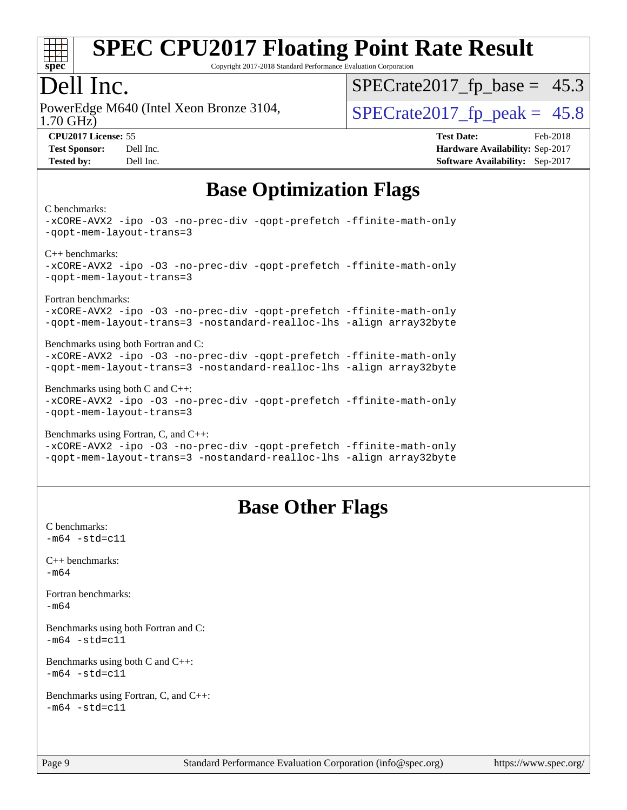

Copyright 2017-2018 Standard Performance Evaluation Corporation

### Dell Inc.

1.70 GHz) PowerEdge M640 (Intel Xeon Bronze 3104,  $\vert$  [SPECrate2017\\_fp\\_peak =](http://www.spec.org/auto/cpu2017/Docs/result-fields.html#SPECrate2017fppeak) 45.8

 $SPECTate2017_fp\_base = 45.3$ 

| $C_{\rm I}$ $C_{\rm I}$ of $L$ increase: 55 |         |
|---------------------------------------------|---------|
| <b>Test Sponsor:</b>                        | Dell In |
|                                             |         |

**[CPU2017 License:](http://www.spec.org/auto/cpu2017/Docs/result-fields.html#CPU2017License)** 55 **[Test Date:](http://www.spec.org/auto/cpu2017/Docs/result-fields.html#TestDate)** Feb-2018 **[Test Sponsor:](http://www.spec.org/auto/cpu2017/Docs/result-fields.html#TestSponsor) [Hardware Availability:](http://www.spec.org/auto/cpu2017/Docs/result-fields.html#HardwareAvailability)** Sep-2017 **[Tested by:](http://www.spec.org/auto/cpu2017/Docs/result-fields.html#Testedby)** Dell Inc. **[Software Availability:](http://www.spec.org/auto/cpu2017/Docs/result-fields.html#SoftwareAvailability)** Sep-2017

# **[Base Optimization Flags](http://www.spec.org/auto/cpu2017/Docs/result-fields.html#BaseOptimizationFlags)**

#### [C benchmarks](http://www.spec.org/auto/cpu2017/Docs/result-fields.html#Cbenchmarks):

[-xCORE-AVX2](http://www.spec.org/cpu2017/results/res2018q1/cpu2017-20180305-03885.flags.html#user_CCbase_f-xCORE-AVX2) [-ipo](http://www.spec.org/cpu2017/results/res2018q1/cpu2017-20180305-03885.flags.html#user_CCbase_f-ipo) [-O3](http://www.spec.org/cpu2017/results/res2018q1/cpu2017-20180305-03885.flags.html#user_CCbase_f-O3) [-no-prec-div](http://www.spec.org/cpu2017/results/res2018q1/cpu2017-20180305-03885.flags.html#user_CCbase_f-no-prec-div) [-qopt-prefetch](http://www.spec.org/cpu2017/results/res2018q1/cpu2017-20180305-03885.flags.html#user_CCbase_f-qopt-prefetch) [-ffinite-math-only](http://www.spec.org/cpu2017/results/res2018q1/cpu2017-20180305-03885.flags.html#user_CCbase_f_finite_math_only_cb91587bd2077682c4b38af759c288ed7c732db004271a9512da14a4f8007909a5f1427ecbf1a0fb78ff2a814402c6114ac565ca162485bbcae155b5e4258871) [-qopt-mem-layout-trans=3](http://www.spec.org/cpu2017/results/res2018q1/cpu2017-20180305-03885.flags.html#user_CCbase_f-qopt-mem-layout-trans_de80db37974c74b1f0e20d883f0b675c88c3b01e9d123adea9b28688d64333345fb62bc4a798493513fdb68f60282f9a726aa07f478b2f7113531aecce732043) [C++ benchmarks:](http://www.spec.org/auto/cpu2017/Docs/result-fields.html#CXXbenchmarks) [-xCORE-AVX2](http://www.spec.org/cpu2017/results/res2018q1/cpu2017-20180305-03885.flags.html#user_CXXbase_f-xCORE-AVX2) [-ipo](http://www.spec.org/cpu2017/results/res2018q1/cpu2017-20180305-03885.flags.html#user_CXXbase_f-ipo) [-O3](http://www.spec.org/cpu2017/results/res2018q1/cpu2017-20180305-03885.flags.html#user_CXXbase_f-O3) [-no-prec-div](http://www.spec.org/cpu2017/results/res2018q1/cpu2017-20180305-03885.flags.html#user_CXXbase_f-no-prec-div) [-qopt-prefetch](http://www.spec.org/cpu2017/results/res2018q1/cpu2017-20180305-03885.flags.html#user_CXXbase_f-qopt-prefetch) [-ffinite-math-only](http://www.spec.org/cpu2017/results/res2018q1/cpu2017-20180305-03885.flags.html#user_CXXbase_f_finite_math_only_cb91587bd2077682c4b38af759c288ed7c732db004271a9512da14a4f8007909a5f1427ecbf1a0fb78ff2a814402c6114ac565ca162485bbcae155b5e4258871) [-qopt-mem-layout-trans=3](http://www.spec.org/cpu2017/results/res2018q1/cpu2017-20180305-03885.flags.html#user_CXXbase_f-qopt-mem-layout-trans_de80db37974c74b1f0e20d883f0b675c88c3b01e9d123adea9b28688d64333345fb62bc4a798493513fdb68f60282f9a726aa07f478b2f7113531aecce732043) [Fortran benchmarks](http://www.spec.org/auto/cpu2017/Docs/result-fields.html#Fortranbenchmarks): [-xCORE-AVX2](http://www.spec.org/cpu2017/results/res2018q1/cpu2017-20180305-03885.flags.html#user_FCbase_f-xCORE-AVX2) [-ipo](http://www.spec.org/cpu2017/results/res2018q1/cpu2017-20180305-03885.flags.html#user_FCbase_f-ipo) [-O3](http://www.spec.org/cpu2017/results/res2018q1/cpu2017-20180305-03885.flags.html#user_FCbase_f-O3) [-no-prec-div](http://www.spec.org/cpu2017/results/res2018q1/cpu2017-20180305-03885.flags.html#user_FCbase_f-no-prec-div) [-qopt-prefetch](http://www.spec.org/cpu2017/results/res2018q1/cpu2017-20180305-03885.flags.html#user_FCbase_f-qopt-prefetch) [-ffinite-math-only](http://www.spec.org/cpu2017/results/res2018q1/cpu2017-20180305-03885.flags.html#user_FCbase_f_finite_math_only_cb91587bd2077682c4b38af759c288ed7c732db004271a9512da14a4f8007909a5f1427ecbf1a0fb78ff2a814402c6114ac565ca162485bbcae155b5e4258871) [-qopt-mem-layout-trans=3](http://www.spec.org/cpu2017/results/res2018q1/cpu2017-20180305-03885.flags.html#user_FCbase_f-qopt-mem-layout-trans_de80db37974c74b1f0e20d883f0b675c88c3b01e9d123adea9b28688d64333345fb62bc4a798493513fdb68f60282f9a726aa07f478b2f7113531aecce732043) [-nostandard-realloc-lhs](http://www.spec.org/cpu2017/results/res2018q1/cpu2017-20180305-03885.flags.html#user_FCbase_f_2003_std_realloc_82b4557e90729c0f113870c07e44d33d6f5a304b4f63d4c15d2d0f1fab99f5daaed73bdb9275d9ae411527f28b936061aa8b9c8f2d63842963b95c9dd6426b8a) [-align array32byte](http://www.spec.org/cpu2017/results/res2018q1/cpu2017-20180305-03885.flags.html#user_FCbase_align_array32byte_b982fe038af199962ba9a80c053b8342c548c85b40b8e86eb3cc33dee0d7986a4af373ac2d51c3f7cf710a18d62fdce2948f201cd044323541f22fc0fffc51b6) [Benchmarks using both Fortran and C](http://www.spec.org/auto/cpu2017/Docs/result-fields.html#BenchmarksusingbothFortranandC): [-xCORE-AVX2](http://www.spec.org/cpu2017/results/res2018q1/cpu2017-20180305-03885.flags.html#user_CC_FCbase_f-xCORE-AVX2) [-ipo](http://www.spec.org/cpu2017/results/res2018q1/cpu2017-20180305-03885.flags.html#user_CC_FCbase_f-ipo) [-O3](http://www.spec.org/cpu2017/results/res2018q1/cpu2017-20180305-03885.flags.html#user_CC_FCbase_f-O3) [-no-prec-div](http://www.spec.org/cpu2017/results/res2018q1/cpu2017-20180305-03885.flags.html#user_CC_FCbase_f-no-prec-div) [-qopt-prefetch](http://www.spec.org/cpu2017/results/res2018q1/cpu2017-20180305-03885.flags.html#user_CC_FCbase_f-qopt-prefetch) [-ffinite-math-only](http://www.spec.org/cpu2017/results/res2018q1/cpu2017-20180305-03885.flags.html#user_CC_FCbase_f_finite_math_only_cb91587bd2077682c4b38af759c288ed7c732db004271a9512da14a4f8007909a5f1427ecbf1a0fb78ff2a814402c6114ac565ca162485bbcae155b5e4258871) [-qopt-mem-layout-trans=3](http://www.spec.org/cpu2017/results/res2018q1/cpu2017-20180305-03885.flags.html#user_CC_FCbase_f-qopt-mem-layout-trans_de80db37974c74b1f0e20d883f0b675c88c3b01e9d123adea9b28688d64333345fb62bc4a798493513fdb68f60282f9a726aa07f478b2f7113531aecce732043) [-nostandard-realloc-lhs](http://www.spec.org/cpu2017/results/res2018q1/cpu2017-20180305-03885.flags.html#user_CC_FCbase_f_2003_std_realloc_82b4557e90729c0f113870c07e44d33d6f5a304b4f63d4c15d2d0f1fab99f5daaed73bdb9275d9ae411527f28b936061aa8b9c8f2d63842963b95c9dd6426b8a) [-align array32byte](http://www.spec.org/cpu2017/results/res2018q1/cpu2017-20180305-03885.flags.html#user_CC_FCbase_align_array32byte_b982fe038af199962ba9a80c053b8342c548c85b40b8e86eb3cc33dee0d7986a4af373ac2d51c3f7cf710a18d62fdce2948f201cd044323541f22fc0fffc51b6) [Benchmarks using both C and C++:](http://www.spec.org/auto/cpu2017/Docs/result-fields.html#BenchmarksusingbothCandCXX) [-xCORE-AVX2](http://www.spec.org/cpu2017/results/res2018q1/cpu2017-20180305-03885.flags.html#user_CC_CXXbase_f-xCORE-AVX2) [-ipo](http://www.spec.org/cpu2017/results/res2018q1/cpu2017-20180305-03885.flags.html#user_CC_CXXbase_f-ipo) [-O3](http://www.spec.org/cpu2017/results/res2018q1/cpu2017-20180305-03885.flags.html#user_CC_CXXbase_f-O3) [-no-prec-div](http://www.spec.org/cpu2017/results/res2018q1/cpu2017-20180305-03885.flags.html#user_CC_CXXbase_f-no-prec-div) [-qopt-prefetch](http://www.spec.org/cpu2017/results/res2018q1/cpu2017-20180305-03885.flags.html#user_CC_CXXbase_f-qopt-prefetch) [-ffinite-math-only](http://www.spec.org/cpu2017/results/res2018q1/cpu2017-20180305-03885.flags.html#user_CC_CXXbase_f_finite_math_only_cb91587bd2077682c4b38af759c288ed7c732db004271a9512da14a4f8007909a5f1427ecbf1a0fb78ff2a814402c6114ac565ca162485bbcae155b5e4258871) [-qopt-mem-layout-trans=3](http://www.spec.org/cpu2017/results/res2018q1/cpu2017-20180305-03885.flags.html#user_CC_CXXbase_f-qopt-mem-layout-trans_de80db37974c74b1f0e20d883f0b675c88c3b01e9d123adea9b28688d64333345fb62bc4a798493513fdb68f60282f9a726aa07f478b2f7113531aecce732043) [Benchmarks using Fortran, C, and C++](http://www.spec.org/auto/cpu2017/Docs/result-fields.html#BenchmarksusingFortranCandCXX): [-xCORE-AVX2](http://www.spec.org/cpu2017/results/res2018q1/cpu2017-20180305-03885.flags.html#user_CC_CXX_FCbase_f-xCORE-AVX2) [-ipo](http://www.spec.org/cpu2017/results/res2018q1/cpu2017-20180305-03885.flags.html#user_CC_CXX_FCbase_f-ipo) [-O3](http://www.spec.org/cpu2017/results/res2018q1/cpu2017-20180305-03885.flags.html#user_CC_CXX_FCbase_f-O3) [-no-prec-div](http://www.spec.org/cpu2017/results/res2018q1/cpu2017-20180305-03885.flags.html#user_CC_CXX_FCbase_f-no-prec-div) [-qopt-prefetch](http://www.spec.org/cpu2017/results/res2018q1/cpu2017-20180305-03885.flags.html#user_CC_CXX_FCbase_f-qopt-prefetch) [-ffinite-math-only](http://www.spec.org/cpu2017/results/res2018q1/cpu2017-20180305-03885.flags.html#user_CC_CXX_FCbase_f_finite_math_only_cb91587bd2077682c4b38af759c288ed7c732db004271a9512da14a4f8007909a5f1427ecbf1a0fb78ff2a814402c6114ac565ca162485bbcae155b5e4258871)

[-qopt-mem-layout-trans=3](http://www.spec.org/cpu2017/results/res2018q1/cpu2017-20180305-03885.flags.html#user_CC_CXX_FCbase_f-qopt-mem-layout-trans_de80db37974c74b1f0e20d883f0b675c88c3b01e9d123adea9b28688d64333345fb62bc4a798493513fdb68f60282f9a726aa07f478b2f7113531aecce732043) [-nostandard-realloc-lhs](http://www.spec.org/cpu2017/results/res2018q1/cpu2017-20180305-03885.flags.html#user_CC_CXX_FCbase_f_2003_std_realloc_82b4557e90729c0f113870c07e44d33d6f5a304b4f63d4c15d2d0f1fab99f5daaed73bdb9275d9ae411527f28b936061aa8b9c8f2d63842963b95c9dd6426b8a) [-align array32byte](http://www.spec.org/cpu2017/results/res2018q1/cpu2017-20180305-03885.flags.html#user_CC_CXX_FCbase_align_array32byte_b982fe038af199962ba9a80c053b8342c548c85b40b8e86eb3cc33dee0d7986a4af373ac2d51c3f7cf710a18d62fdce2948f201cd044323541f22fc0fffc51b6)

### **[Base Other Flags](http://www.spec.org/auto/cpu2017/Docs/result-fields.html#BaseOtherFlags)**

[C benchmarks](http://www.spec.org/auto/cpu2017/Docs/result-fields.html#Cbenchmarks):  $-m64 - std = c11$  $-m64 - std = c11$ [C++ benchmarks:](http://www.spec.org/auto/cpu2017/Docs/result-fields.html#CXXbenchmarks) [-m64](http://www.spec.org/cpu2017/results/res2018q1/cpu2017-20180305-03885.flags.html#user_CXXbase_intel_intel64_18.0_af43caccfc8ded86e7699f2159af6efc7655f51387b94da716254467f3c01020a5059329e2569e4053f409e7c9202a7efc638f7a6d1ffb3f52dea4a3e31d82ab) [Fortran benchmarks](http://www.spec.org/auto/cpu2017/Docs/result-fields.html#Fortranbenchmarks): [-m64](http://www.spec.org/cpu2017/results/res2018q1/cpu2017-20180305-03885.flags.html#user_FCbase_intel_intel64_18.0_af43caccfc8ded86e7699f2159af6efc7655f51387b94da716254467f3c01020a5059329e2569e4053f409e7c9202a7efc638f7a6d1ffb3f52dea4a3e31d82ab) [Benchmarks using both Fortran and C](http://www.spec.org/auto/cpu2017/Docs/result-fields.html#BenchmarksusingbothFortranandC):  $-m64$   $-std=cl1$ [Benchmarks using both C and C++](http://www.spec.org/auto/cpu2017/Docs/result-fields.html#BenchmarksusingbothCandCXX):  $-m64 - std= c11$  $-m64 - std= c11$ [Benchmarks using Fortran, C, and C++:](http://www.spec.org/auto/cpu2017/Docs/result-fields.html#BenchmarksusingFortranCandCXX)  $-m64 - std = c11$  $-m64 - std = c11$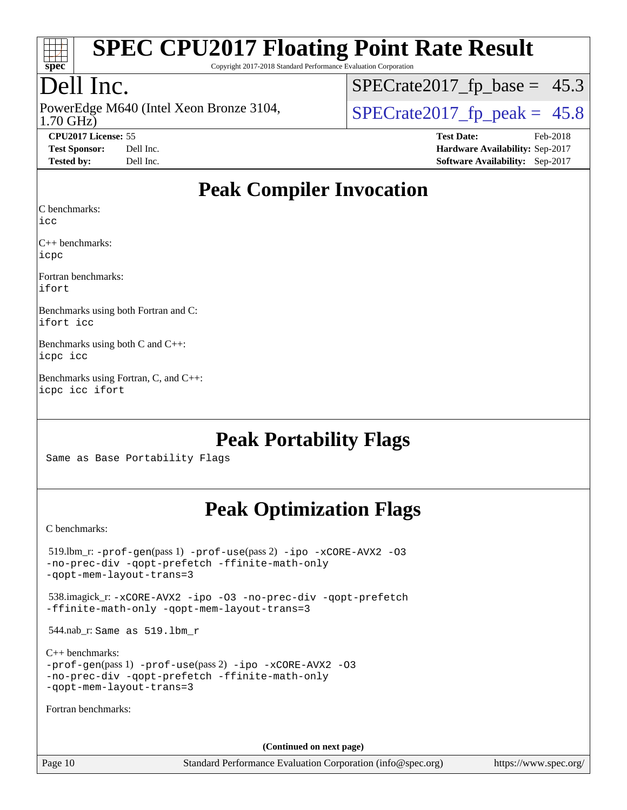

Copyright 2017-2018 Standard Performance Evaluation Corporation

# Dell Inc.

1.70 GHz) PowerEdge M640 (Intel Xeon Bronze 3104,  $\vert$  SPECrate 2017\_fp\_peak = 45.8

 $SPECTate2017_fp\_base = 45.3$ 

**[CPU2017 License:](http://www.spec.org/auto/cpu2017/Docs/result-fields.html#CPU2017License)** 55 **[Test Date:](http://www.spec.org/auto/cpu2017/Docs/result-fields.html#TestDate)** Feb-2018

**[Test Sponsor:](http://www.spec.org/auto/cpu2017/Docs/result-fields.html#TestSponsor)** Dell Inc. **[Hardware Availability:](http://www.spec.org/auto/cpu2017/Docs/result-fields.html#HardwareAvailability)** Sep-2017 **[Tested by:](http://www.spec.org/auto/cpu2017/Docs/result-fields.html#Testedby)** Dell Inc. **[Software Availability:](http://www.spec.org/auto/cpu2017/Docs/result-fields.html#SoftwareAvailability)** Sep-2017

### **[Peak Compiler Invocation](http://www.spec.org/auto/cpu2017/Docs/result-fields.html#PeakCompilerInvocation)**

[C benchmarks](http://www.spec.org/auto/cpu2017/Docs/result-fields.html#Cbenchmarks):

[icc](http://www.spec.org/cpu2017/results/res2018q1/cpu2017-20180305-03885.flags.html#user_CCpeak_intel_icc_18.0_66fc1ee009f7361af1fbd72ca7dcefbb700085f36577c54f309893dd4ec40d12360134090235512931783d35fd58c0460139e722d5067c5574d8eaf2b3e37e92)

[C++ benchmarks:](http://www.spec.org/auto/cpu2017/Docs/result-fields.html#CXXbenchmarks) [icpc](http://www.spec.org/cpu2017/results/res2018q1/cpu2017-20180305-03885.flags.html#user_CXXpeak_intel_icpc_18.0_c510b6838c7f56d33e37e94d029a35b4a7bccf4766a728ee175e80a419847e808290a9b78be685c44ab727ea267ec2f070ec5dc83b407c0218cded6866a35d07)

[Fortran benchmarks](http://www.spec.org/auto/cpu2017/Docs/result-fields.html#Fortranbenchmarks): [ifort](http://www.spec.org/cpu2017/results/res2018q1/cpu2017-20180305-03885.flags.html#user_FCpeak_intel_ifort_18.0_8111460550e3ca792625aed983ce982f94888b8b503583aa7ba2b8303487b4d8a21a13e7191a45c5fd58ff318f48f9492884d4413fa793fd88dd292cad7027ca)

[Benchmarks using both Fortran and C](http://www.spec.org/auto/cpu2017/Docs/result-fields.html#BenchmarksusingbothFortranandC): [ifort](http://www.spec.org/cpu2017/results/res2018q1/cpu2017-20180305-03885.flags.html#user_CC_FCpeak_intel_ifort_18.0_8111460550e3ca792625aed983ce982f94888b8b503583aa7ba2b8303487b4d8a21a13e7191a45c5fd58ff318f48f9492884d4413fa793fd88dd292cad7027ca) [icc](http://www.spec.org/cpu2017/results/res2018q1/cpu2017-20180305-03885.flags.html#user_CC_FCpeak_intel_icc_18.0_66fc1ee009f7361af1fbd72ca7dcefbb700085f36577c54f309893dd4ec40d12360134090235512931783d35fd58c0460139e722d5067c5574d8eaf2b3e37e92)

[Benchmarks using both C and C++:](http://www.spec.org/auto/cpu2017/Docs/result-fields.html#BenchmarksusingbothCandCXX) [icpc](http://www.spec.org/cpu2017/results/res2018q1/cpu2017-20180305-03885.flags.html#user_CC_CXXpeak_intel_icpc_18.0_c510b6838c7f56d33e37e94d029a35b4a7bccf4766a728ee175e80a419847e808290a9b78be685c44ab727ea267ec2f070ec5dc83b407c0218cded6866a35d07) [icc](http://www.spec.org/cpu2017/results/res2018q1/cpu2017-20180305-03885.flags.html#user_CC_CXXpeak_intel_icc_18.0_66fc1ee009f7361af1fbd72ca7dcefbb700085f36577c54f309893dd4ec40d12360134090235512931783d35fd58c0460139e722d5067c5574d8eaf2b3e37e92)

[Benchmarks using Fortran, C, and C++](http://www.spec.org/auto/cpu2017/Docs/result-fields.html#BenchmarksusingFortranCandCXX): [icpc](http://www.spec.org/cpu2017/results/res2018q1/cpu2017-20180305-03885.flags.html#user_CC_CXX_FCpeak_intel_icpc_18.0_c510b6838c7f56d33e37e94d029a35b4a7bccf4766a728ee175e80a419847e808290a9b78be685c44ab727ea267ec2f070ec5dc83b407c0218cded6866a35d07) [icc](http://www.spec.org/cpu2017/results/res2018q1/cpu2017-20180305-03885.flags.html#user_CC_CXX_FCpeak_intel_icc_18.0_66fc1ee009f7361af1fbd72ca7dcefbb700085f36577c54f309893dd4ec40d12360134090235512931783d35fd58c0460139e722d5067c5574d8eaf2b3e37e92) [ifort](http://www.spec.org/cpu2017/results/res2018q1/cpu2017-20180305-03885.flags.html#user_CC_CXX_FCpeak_intel_ifort_18.0_8111460550e3ca792625aed983ce982f94888b8b503583aa7ba2b8303487b4d8a21a13e7191a45c5fd58ff318f48f9492884d4413fa793fd88dd292cad7027ca)

# **[Peak Portability Flags](http://www.spec.org/auto/cpu2017/Docs/result-fields.html#PeakPortabilityFlags)**

Same as Base Portability Flags

# **[Peak Optimization Flags](http://www.spec.org/auto/cpu2017/Docs/result-fields.html#PeakOptimizationFlags)**

[C benchmarks](http://www.spec.org/auto/cpu2017/Docs/result-fields.html#Cbenchmarks):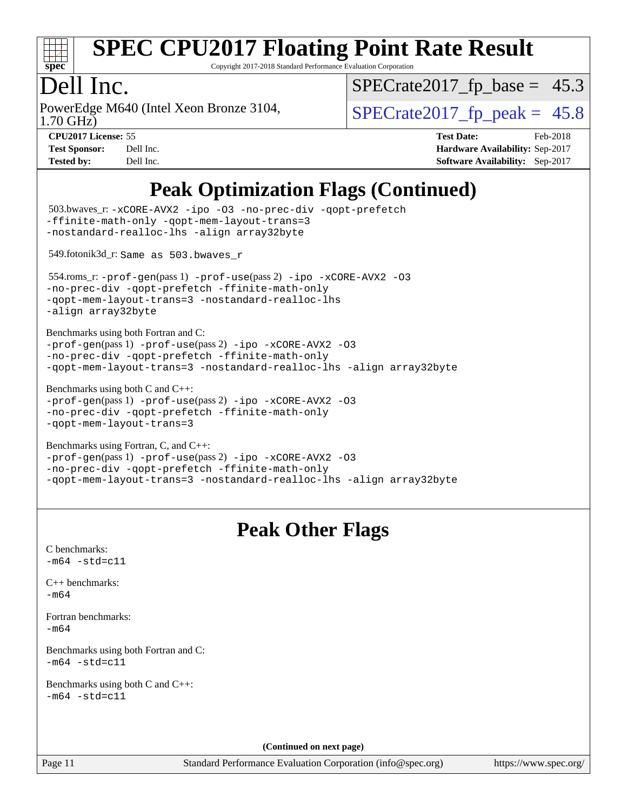

Copyright 2017-2018 Standard Performance Evaluation Corporation

# Dell Inc.

1.70 GHz) PowerEdge M640 (Intel Xeon Bronze 3104,  $\text{SPECrate2017\_fp\_peak} = 45.8$ 

 $SPECrate2017_fp\_base = 45.3$ 

**[CPU2017 License:](http://www.spec.org/auto/cpu2017/Docs/result-fields.html#CPU2017License)** 55 **[Test Date:](http://www.spec.org/auto/cpu2017/Docs/result-fields.html#TestDate)** Feb-2018

**[Test Sponsor:](http://www.spec.org/auto/cpu2017/Docs/result-fields.html#TestSponsor)** Dell Inc. **[Hardware Availability:](http://www.spec.org/auto/cpu2017/Docs/result-fields.html#HardwareAvailability)** Sep-2017 **[Tested by:](http://www.spec.org/auto/cpu2017/Docs/result-fields.html#Testedby)** Dell Inc. **[Software Availability:](http://www.spec.org/auto/cpu2017/Docs/result-fields.html#SoftwareAvailability)** Sep-2017

# **[Peak Optimization Flags \(Continued\)](http://www.spec.org/auto/cpu2017/Docs/result-fields.html#PeakOptimizationFlags)**

| 503.bwaves_r: -xCORE-AVX2 -ipo -03 -no-prec-div -qopt-prefetch<br>-ffinite-math-only -qopt-mem-layout-trans=3<br>-nostandard-realloc-lhs -align array32byte                                                                |
|----------------------------------------------------------------------------------------------------------------------------------------------------------------------------------------------------------------------------|
| 549.fotonik3d_r: Same as 503.bwaves_r                                                                                                                                                                                      |
| 554.roms_r:-prof-gen(pass 1) -prof-use(pass 2) -ipo -xCORE-AVX2 -03<br>-no-prec-div -qopt-prefetch -ffinite-math-only<br>-qopt-mem-layout-trans=3 -nostandard-realloc-lhs<br>-align array32byte                            |
| Benchmarks using both Fortran and C:<br>-prof-gen(pass 1) -prof-use(pass 2) -ipo -xCORE-AVX2 -03<br>-no-prec-div -qopt-prefetch -ffinite-math-only<br>-qopt-mem-layout-trans=3 -nostandard-realloc-lhs -align array32byte  |
| Benchmarks using both $C$ and $C++$ :<br>-prof-gen(pass 1) -prof-use(pass 2) -ipo -xCORE-AVX2 -03<br>-no-prec-div -qopt-prefetch -ffinite-math-only<br>-qopt-mem-layout-trans=3                                            |
| Benchmarks using Fortran, C, and C++:<br>-prof-gen(pass 1) -prof-use(pass 2) -ipo -xCORE-AVX2 -03<br>-no-prec-div -qopt-prefetch -ffinite-math-only<br>-qopt-mem-layout-trans=3 -nostandard-realloc-lhs -align array32byte |
| <b>Peak Other Flags</b>                                                                                                                                                                                                    |
| C benchmarks:<br>$-m64 - std= c11$                                                                                                                                                                                         |
| $C_{++}$ benchmarks:<br>$-m64$                                                                                                                                                                                             |
| Fortran benchmarks:<br>$-m64$                                                                                                                                                                                              |
| Benchmarks using both Fortran and C:<br>m64 -std=c11-                                                                                                                                                                      |
| Benchmarks using both C and C++:<br>$-m64 - std= c11$                                                                                                                                                                      |
|                                                                                                                                                                                                                            |
| (Continued on next page)                                                                                                                                                                                                   |
| Standard Performance Evaluation Corporation (info@spec.org)<br>Page 11                                                                                                                                                     |

<https://www.spec.org/>